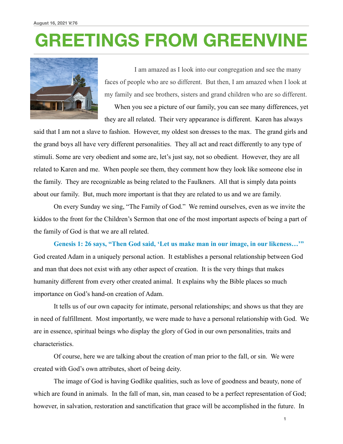## **GREETINGS FROM GREENVINE**



I am amazed as I look into our congregation and see the many faces of people who are so different. But then, I am amazed when I look at my family and see brothers, sisters and grand children who are so different.

 When you see a picture of our family, you can see many differences, yet they are all related. Their very appearance is different. Karen has always

said that I am not a slave to fashion. However, my oldest son dresses to the max. The grand girls and the grand boys all have very different personalities. They all act and react differently to any type of stimuli. Some are very obedient and some are, let's just say, not so obedient. However, they are all related to Karen and me. When people see them, they comment how they look like someone else in the family. They are recognizable as being related to the Faulkners. All that is simply data points about our family. But, much more important is that they are related to us and we are family.

 On every Sunday we sing, "The Family of God." We remind ourselves, even as we invite the kiddos to the front for the Children's Sermon that one of the most important aspects of being a part of the family of God is that we are all related.

**Genesis 1: 26 says, "Then God said, 'Let us make man in our image, in our likeness…'"** God created Adam in a uniquely personal action. It establishes a personal relationship between God and man that does not exist with any other aspect of creation. It is the very things that makes humanity different from every other created animal. It explains why the Bible places so much importance on God's hand-on creation of Adam.

 It tells us of our own capacity for intimate, personal relationships; and shows us that they are in need of fulfillment. Most importantly, we were made to have a personal relationship with God. We are in essence, spiritual beings who display the glory of God in our own personalities, traits and characteristics.

 Of course, here we are talking about the creation of man prior to the fall, or sin. We were created with God's own attributes, short of being deity.

 The image of God is having Godlike qualities, such as love of goodness and beauty, none of which are found in animals. In the fall of man, sin, man ceased to be a perfect representation of God; however, in salvation, restoration and sanctification that grace will be accomplished in the future. In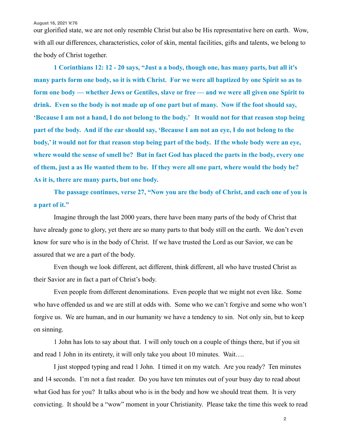**August 16, 2021 V:76**

our glorified state, we are not only resemble Christ but also be His representative here on earth. Wow, with all our differences, characteristics, color of skin, mental facilities, gifts and talents, we belong to the body of Christ together.

**1 Corinthians 12: 12 - 20 says, "Just a a body, though one, has many parts, but all it's many parts form one body, so it is with Christ. For we were all baptized by one Spirit so as to form one body — whether Jews or Gentiles, slave or free — and we were all given one Spirit to drink. Even so the body is not made up of one part but of many. Now if the foot should say, 'Because I am not a hand, I do not belong to the body.' It would not for that reason stop being part of the body. And if the ear should say, 'Because I am not an eye, I do not belong to the body,' it would not for that reason stop being part of the body. If the whole body were an eye, where would the sense of smell be? But in fact God has placed the parts in the body, every one of them, just a as He wanted them to be. If they were all one part, where would the body be? As it is, there are many parts, but one body.** 

 **The passage continues, verse 27, "Now you are the body of Christ, and each one of you is a part of it."** 

 Imagine through the last 2000 years, there have been many parts of the body of Christ that have already gone to glory, yet there are so many parts to that body still on the earth. We don't even know for sure who is in the body of Christ. If we have trusted the Lord as our Savior, we can be assured that we are a part of the body.

 Even though we look different, act different, think different, all who have trusted Christ as their Savior are in fact a part of Christ's body.

 Even people from different denominations. Even people that we might not even like. Some who have offended us and we are still at odds with. Some who we can't forgive and some who won't forgive us. We are human, and in our humanity we have a tendency to sin. Not only sin, but to keep on sinning.

 1 John has lots to say about that. I will only touch on a couple of things there, but if you sit and read 1 John in its entirety, it will only take you about 10 minutes. Wait….

 I just stopped typing and read 1 John. I timed it on my watch. Are you ready? Ten minutes and 14 seconds. I'm not a fast reader. Do you have ten minutes out of your busy day to read about what God has for you? It talks about who is in the body and how we should treat them. It is very convicting. It should be a "wow" moment in your Christianity. Please take the time this week to read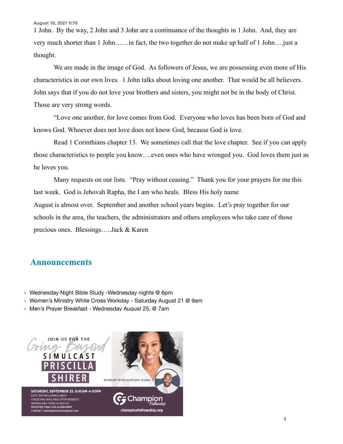1 John. By the way, 2 John and 3 John are a continuance of the thoughts in 1 John. And, they are very much shorter than 1 John……in fact, the two together do not make up half of 1 John….just a thought.

 We are made in the image of God. As followers of Jesus, we are possessing even more of His characteristics in our own lives. 1 John talks about loving one another. That would be all believers. John says that if you do not love your brothers and sisters, you might not be in the body of Christ. Those are very strong words.

 "Love one another, for love comes from God. Everyone who loves has been born of God and knows God. Whoever does not love does not know God, because God is love.

 Read 1 Corinthians chapter 13. We sometimes call that the love chapter. See if you can apply those characteristics to people you know….even ones who have wronged you. God loves them just as he loves you.

 Many requests on our lists. "Pray without ceasing." Thank you for your prayers for me this last week. God is Jehovah Rapha, the I am who heals. Bless His holy name August is almost over. September and another school years begins. Let's pray together for our schools in the area, the teachers, the administrators and others employees who take care of those precious ones. Blessings…..Jack & Karen

## **Announcements**

- Wednesday Night Bible Study -Wednesday nights @ 6pm
- Women's Ministry White Cross Workday Saturday August 21 @ 9am
- Men's Prayer Breakfast Wednesday August 25, @ 7am